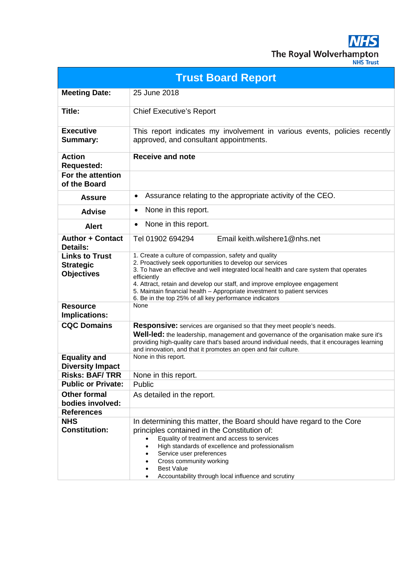**NHS** The Royal Wolverhampton

| <b>JHS Trust</b> |  |
|------------------|--|
|                  |  |
|                  |  |

| <b>Trust Board Report</b>                                      |                                                                                                                                                                                                                                                                                                                                                                                                                                                 |  |
|----------------------------------------------------------------|-------------------------------------------------------------------------------------------------------------------------------------------------------------------------------------------------------------------------------------------------------------------------------------------------------------------------------------------------------------------------------------------------------------------------------------------------|--|
| <b>Meeting Date:</b>                                           | 25 June 2018                                                                                                                                                                                                                                                                                                                                                                                                                                    |  |
| Title:                                                         | <b>Chief Executive's Report</b>                                                                                                                                                                                                                                                                                                                                                                                                                 |  |
| <b>Executive</b><br><b>Summary:</b>                            | This report indicates my involvement in various events, policies recently<br>approved, and consultant appointments.                                                                                                                                                                                                                                                                                                                             |  |
| <b>Action</b><br><b>Requested:</b>                             | <b>Receive and note</b>                                                                                                                                                                                                                                                                                                                                                                                                                         |  |
| For the attention<br>of the Board                              |                                                                                                                                                                                                                                                                                                                                                                                                                                                 |  |
| <b>Assure</b>                                                  | Assurance relating to the appropriate activity of the CEO.<br>$\bullet$                                                                                                                                                                                                                                                                                                                                                                         |  |
| <b>Advise</b>                                                  | None in this report.<br>٠                                                                                                                                                                                                                                                                                                                                                                                                                       |  |
| <b>Alert</b>                                                   | None in this report.<br>$\bullet$                                                                                                                                                                                                                                                                                                                                                                                                               |  |
| <b>Author + Contact</b><br><b>Details:</b>                     | Tel 01902 694294<br>Email keith.wilshere1@nhs.net                                                                                                                                                                                                                                                                                                                                                                                               |  |
| <b>Links to Trust</b><br><b>Strategic</b><br><b>Objectives</b> | 1. Create a culture of compassion, safety and quality<br>2. Proactively seek opportunities to develop our services<br>3. To have an effective and well integrated local health and care system that operates<br>efficiently<br>4. Attract, retain and develop our staff, and improve employee engagement<br>5. Maintain financial health - Appropriate investment to patient services<br>6. Be in the top 25% of all key performance indicators |  |
| <b>Resource</b><br><b>Implications:</b>                        | None                                                                                                                                                                                                                                                                                                                                                                                                                                            |  |
| <b>CQC Domains</b>                                             | <b>Responsive:</b> services are organised so that they meet people's needs.<br>Well-led: the leadership, management and governance of the organisation make sure it's<br>providing high-quality care that's based around individual needs, that it encourages learning<br>and innovation, and that it promotes an open and fair culture.                                                                                                        |  |
| <b>Equality and</b><br><b>Diversity Impact</b>                 | None in this report.                                                                                                                                                                                                                                                                                                                                                                                                                            |  |
| <b>Risks: BAF/TRR</b>                                          | None in this report.                                                                                                                                                                                                                                                                                                                                                                                                                            |  |
| <b>Public or Private:</b>                                      | Public                                                                                                                                                                                                                                                                                                                                                                                                                                          |  |
| <b>Other formal</b><br>bodies involved:                        | As detailed in the report.                                                                                                                                                                                                                                                                                                                                                                                                                      |  |
| <b>References</b>                                              |                                                                                                                                                                                                                                                                                                                                                                                                                                                 |  |
| <b>NHS</b><br><b>Constitution:</b>                             | In determining this matter, the Board should have regard to the Core<br>principles contained in the Constitution of:<br>Equality of treatment and access to services<br>High standards of excellence and professionalism<br>Service user preferences<br>Cross community working<br><b>Best Value</b>                                                                                                                                            |  |
|                                                                | Accountability through local influence and scrutiny                                                                                                                                                                                                                                                                                                                                                                                             |  |